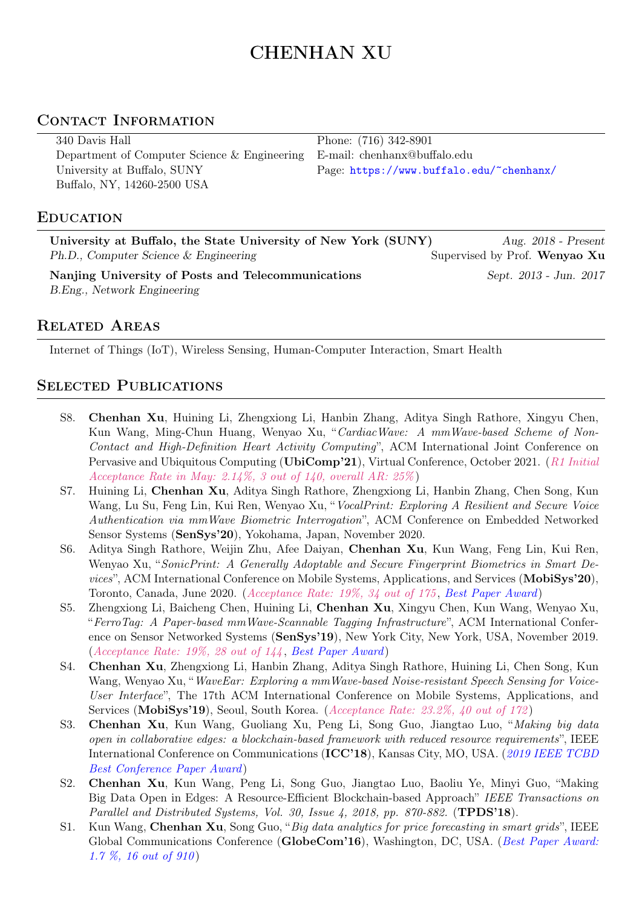# CHENHAN XU

# CONTACT INFORMATION

| 340 Davis Hall                                  | Phone: (716) 342-8901                    |
|-------------------------------------------------|------------------------------------------|
| Department of Computer Science $\&$ Engineering | E-mail: chenhanx@buffalo.edu             |
| University at Buffalo, SUNY                     | Page: https://www.buffalo.edu/~chenhanx/ |
| Buffalo, NY, 14260-2500 USA                     |                                          |

#### **EDUCATION**

| University at Buffalo, the State University of New York (SUNY) | Aug. $2018$ - Present         |
|----------------------------------------------------------------|-------------------------------|
| Ph.D., Computer Science & Engineering                          | Supervised by Prof. Wenyao Xu |
| Nanjing University of Posts and Telecommunications             | Sept. 2013 - Jun. 2017        |
| B.Eng., Network Engineering                                    |                               |

## Related Areas

Internet of Things (IoT), Wireless Sensing, Human-Computer Interaction, Smart Health

# SELECTED PUBLICATIONS

- S8. Chenhan Xu, Huining Li, Zhengxiong Li, Hanbin Zhang, Aditya Singh Rathore, Xingyu Chen, Kun Wang, Ming-Chun Huang, Wenyao Xu, "CardiacWave: A mmWave-based Scheme of Non-Contact and High-Definition Heart Activity Computing", ACM International Joint Conference on Pervasive and Ubiquitous Computing (UbiComp'21), Virtual Conference, October 2021. (R1 Initial Acceptance Rate in May: 2.14%, 3 out of 140, overall AR:  $25\%$ )
- S7. Huining Li, Chenhan Xu, Aditya Singh Rathore, Zhengxiong Li, Hanbin Zhang, Chen Song, Kun Wang, Lu Su, Feng Lin, Kui Ren, Wenyao Xu, "VocalPrint: Exploring A Resilient and Secure Voice Authentication via mmWave Biometric Interrogation", ACM Conference on Embedded Networked Sensor Systems (SenSys'20), Yokohama, Japan, November 2020.
- S6. Aditya Singh Rathore, Weijin Zhu, Afee Daiyan, Chenhan Xu, Kun Wang, Feng Lin, Kui Ren, Wenyao Xu, "SonicPrint: A Generally Adoptable and Secure Fingerprint Biometrics in Smart Devices", ACM International Conference on Mobile Systems, Applications, and Services (MobiSys'20), Toronto, Canada, June 2020. (Acceptance Rate: 19%, 34 out of 175 , Best Paper Award)
- S5. Zhengxiong Li, Baicheng Chen, Huining Li, Chenhan Xu, Xingyu Chen, Kun Wang, Wenyao Xu, "FerroTag: A Paper-based mmWave-Scannable Tagging Infrastructure", ACM International Conference on Sensor Networked Systems (SenSys'19), New York City, New York, USA, November 2019. (Acceptance Rate: 19%, 28 out of 144 , Best Paper Award)
- S4. Chenhan Xu, Zhengxiong Li, Hanbin Zhang, Aditya Singh Rathore, Huining Li, Chen Song, Kun Wang, Wenyao Xu, "WaveEar: Exploring a mmWave-based Noise-resistant Speech Sensing for Voice-User Interface", The 17th ACM International Conference on Mobile Systems, Applications, and Services (MobiSys'19), Seoul, South Korea. (Acceptance Rate: 23.2%, 40 out of 172)
- S3. Chenhan Xu, Kun Wang, Guoliang Xu, Peng Li, Song Guo, Jiangtao Luo, "Making big data open in collaborative edges: a blockchain-based framework with reduced resource requirements ", IEEE International Conference on Communications (ICC'18), Kansas City, MO, USA. (2019 IEEE TCBD Best Conference Paper Award)
- S2. Chenhan Xu, Kun Wang, Peng Li, Song Guo, Jiangtao Luo, Baoliu Ye, Minyi Guo, "Making Big Data Open in Edges: A Resource-Efficient Blockchain-based Approach" IEEE Transactions on Parallel and Distributed Systems, Vol. 30, Issue 4, 2018, pp. 870-882. (TPDS'18).
- S1. Kun Wang, Chenhan Xu, Song Guo, "Big data analytics for price forecasting in smart grids", IEEE Global Communications Conference (GlobeCom'16), Washington, DC, USA. (Best Paper Award: 1.7 %, 16 out of 910 )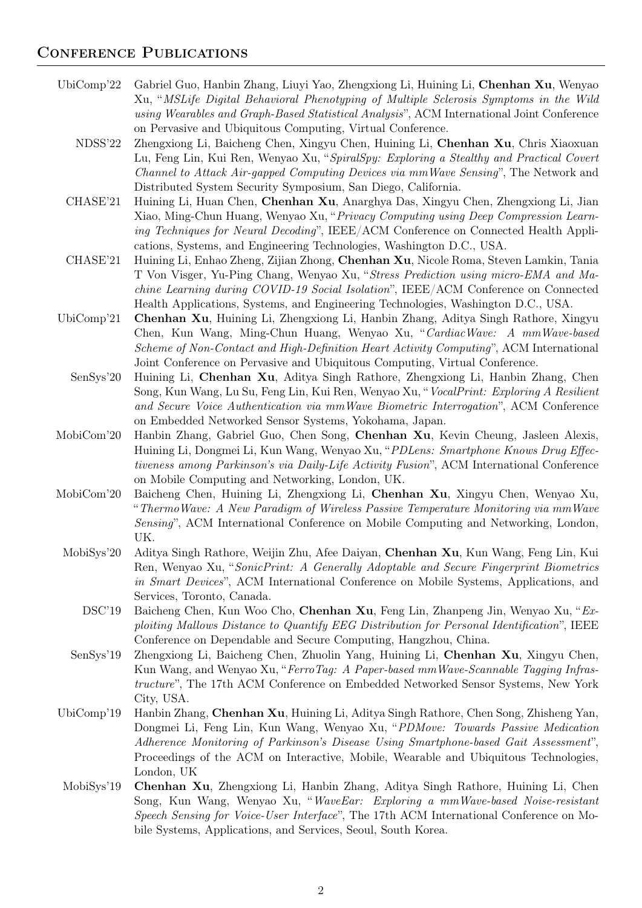## CONFERENCE PUBLICATIONS

- UbiComp'22 Gabriel Guo, Hanbin Zhang, Liuyi Yao, Zhengxiong Li, Huining Li, Chenhan Xu, Wenyao Xu, "MSLife Digital Behavioral Phenotyping of Multiple Sclerosis Symptoms in the Wild using Wearables and Graph-Based Statistical Analysis", ACM International Joint Conference on Pervasive and Ubiquitous Computing, Virtual Conference.
	- NDSS'22 Zhengxiong Li, Baicheng Chen, Xingyu Chen, Huining Li, Chenhan Xu, Chris Xiaoxuan Lu, Feng Lin, Kui Ren, Wenyao Xu, "SpiralSpy: Exploring a Stealthy and Practical Covert Channel to Attack Air-gapped Computing Devices via mmWave Sensing", The Network and Distributed System Security Symposium, San Diego, California.
	- CHASE'21 Huining Li, Huan Chen, Chenhan Xu, Anarghya Das, Xingyu Chen, Zhengxiong Li, Jian Xiao, Ming-Chun Huang, Wenyao Xu, "Privacy Computing using Deep Compression Learning Techniques for Neural Decoding", IEEE/ACM Conference on Connected Health Applications, Systems, and Engineering Technologies, Washington D.C., USA.
- CHASE'21 Huining Li, Enhao Zheng, Zijian Zhong, Chenhan Xu, Nicole Roma, Steven Lamkin, Tania T Von Visger, Yu-Ping Chang, Wenyao Xu, "Stress Prediction using micro-EMA and Machine Learning during COVID-19 Social Isolation", IEEE/ACM Conference on Connected Health Applications, Systems, and Engineering Technologies, Washington D.C., USA.
- UbiComp'21 Chenhan Xu, Huining Li, Zhengxiong Li, Hanbin Zhang, Aditya Singh Rathore, Xingyu Chen, Kun Wang, Ming-Chun Huang, Wenyao Xu, "CardiacWave: A mmWave-based Scheme of Non-Contact and High-Definition Heart Activity Computing", ACM International Joint Conference on Pervasive and Ubiquitous Computing, Virtual Conference.
	- SenSys'20 Huining Li, Chenhan Xu, Aditya Singh Rathore, Zhengxiong Li, Hanbin Zhang, Chen Song, Kun Wang, Lu Su, Feng Lin, Kui Ren, Wenyao Xu, "VocalPrint: Exploring A Resilient and Secure Voice Authentication via mmWave Biometric Interrogation", ACM Conference on Embedded Networked Sensor Systems, Yokohama, Japan.
- MobiCom'20 Hanbin Zhang, Gabriel Guo, Chen Song, Chenhan Xu, Kevin Cheung, Jasleen Alexis, Huining Li, Dongmei Li, Kun Wang, Wenyao Xu, "PDLens: Smartphone Knows Drug Effectiveness among Parkinson's via Daily-Life Activity Fusion", ACM International Conference on Mobile Computing and Networking, London, UK.
- MobiCom'20 Baicheng Chen, Huining Li, Zhengxiong Li, Chenhan Xu, Xingyu Chen, Wenyao Xu, "ThermoWave: A New Paradigm of Wireless Passive Temperature Monitoring via mmWave Sensing", ACM International Conference on Mobile Computing and Networking, London, UK.
	- MobiSys'20 Aditya Singh Rathore, Weijin Zhu, Afee Daiyan, Chenhan Xu, Kun Wang, Feng Lin, Kui Ren, Wenyao Xu, "SonicPrint: A Generally Adoptable and Secure Fingerprint Biometrics in Smart Devices", ACM International Conference on Mobile Systems, Applications, and Services, Toronto, Canada.
		- DSC'19 Baicheng Chen, Kun Woo Cho, Chenhan Xu, Feng Lin, Zhanpeng Jin, Wenyao Xu, "Exploiting Mallows Distance to Quantify EEG Distribution for Personal Identification", IEEE Conference on Dependable and Secure Computing, Hangzhou, China.
	- SenSys'19 Zhengxiong Li, Baicheng Chen, Zhuolin Yang, Huining Li, Chenhan Xu, Xingyu Chen, Kun Wang, and Wenyao Xu, "FerroTag: A Paper-based mmWave-Scannable Tagging Infrastructure", The 17th ACM Conference on Embedded Networked Sensor Systems, New York City, USA.
- UbiComp'19 Hanbin Zhang, Chenhan Xu, Huining Li, Aditya Singh Rathore, Chen Song, Zhisheng Yan, Dongmei Li, Feng Lin, Kun Wang, Wenyao Xu, "PDMove: Towards Passive Medication Adherence Monitoring of Parkinson's Disease Using Smartphone-based Gait Assessment", Proceedings of the ACM on Interactive, Mobile, Wearable and Ubiquitous Technologies, London, UK
- MobiSys'19 Chenhan Xu, Zhengxiong Li, Hanbin Zhang, Aditya Singh Rathore, Huining Li, Chen Song, Kun Wang, Wenyao Xu, "WaveEar: Exploring a mmWave-based Noise-resistant Speech Sensing for Voice-User Interface", The 17th ACM International Conference on Mobile Systems, Applications, and Services, Seoul, South Korea.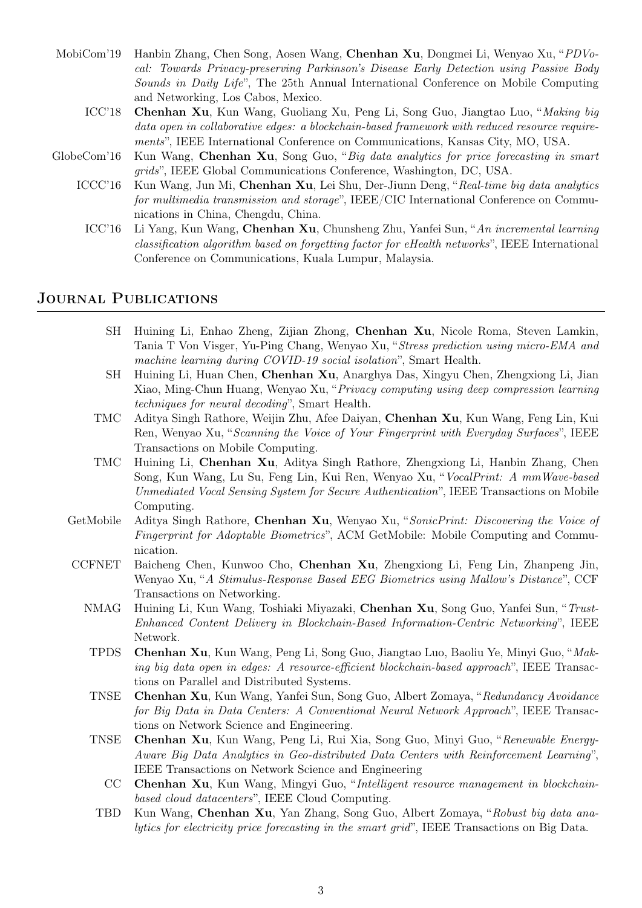- MobiCom'19 Hanbin Zhang, Chen Song, Aosen Wang, Chenhan Xu, Dongmei Li, Wenyao Xu, "PDVocal: Towards Privacy-preserving Parkinson's Disease Early Detection using Passive Body Sounds in Daily Life", The 25th Annual International Conference on Mobile Computing and Networking, Los Cabos, Mexico.
	- ICC'18 Chenhan Xu, Kun Wang, Guoliang Xu, Peng Li, Song Guo, Jiangtao Luo, "Making big data open in collaborative edges: a blockchain-based framework with reduced resource requirements", IEEE International Conference on Communications, Kansas City, MO, USA.
- GlobeCom'16 Kun Wang, Chenhan Xu, Song Guo, "Big data analytics for price forecasting in smart grids", IEEE Global Communications Conference, Washington, DC, USA.
	- ICCC'16 Kun Wang, Jun Mi, Chenhan Xu, Lei Shu, Der-Jiunn Deng, "Real-time big data analytics for multimedia transmission and storage", IEEE/CIC International Conference on Communications in China, Chengdu, China.
		- ICC'16 Li Yang, Kun Wang, Chenhan Xu, Chunsheng Zhu, Yanfei Sun, "An incremental learning classification algorithm based on forgetting factor for eHealth networks ", IEEE International Conference on Communications, Kuala Lumpur, Malaysia.

## Journal Publications

- SH Huining Li, Enhao Zheng, Zijian Zhong, Chenhan Xu, Nicole Roma, Steven Lamkin, Tania T Von Visger, Yu-Ping Chang, Wenyao Xu, "Stress prediction using micro-EMA and machine learning during COVID-19 social isolation", Smart Health.
- SH Huining Li, Huan Chen, Chenhan Xu, Anarghya Das, Xingyu Chen, Zhengxiong Li, Jian Xiao, Ming-Chun Huang, Wenyao Xu, "Privacy computing using deep compression learning techniques for neural decoding", Smart Health.
- TMC Aditya Singh Rathore, Weijin Zhu, Afee Daiyan, Chenhan Xu, Kun Wang, Feng Lin, Kui Ren, Wenyao Xu, "Scanning the Voice of Your Fingerprint with Everyday Surfaces", IEEE Transactions on Mobile Computing.
- TMC Huining Li, Chenhan Xu, Aditya Singh Rathore, Zhengxiong Li, Hanbin Zhang, Chen Song, Kun Wang, Lu Su, Feng Lin, Kui Ren, Wenyao Xu, "VocalPrint: A mmWave-based Unmediated Vocal Sensing System for Secure Authentication", IEEE Transactions on Mobile Computing.
- GetMobile Aditya Singh Rathore, Chenhan Xu, Wenyao Xu, "SonicPrint: Discovering the Voice of Fingerprint for Adoptable Biometrics", ACM GetMobile: Mobile Computing and Communication.
- CCFNET Baicheng Chen, Kunwoo Cho, Chenhan Xu, Zhengxiong Li, Feng Lin, Zhanpeng Jin, Wenyao Xu, "A Stimulus-Response Based EEG Biometrics using Mallow's Distance", CCF Transactions on Networking.
	- NMAG Huining Li, Kun Wang, Toshiaki Miyazaki, Chenhan Xu, Song Guo, Yanfei Sun, "Trust-Enhanced Content Delivery in Blockchain-Based Information-Centric Networking ", IEEE Network.
	- TPDS Chenhan Xu, Kun Wang, Peng Li, Song Guo, Jiangtao Luo, Baoliu Ye, Minyi Guo, "Making big data open in edges: A resource-efficient blockchain-based approach", IEEE Transactions on Parallel and Distributed Systems.
	- TNSE Chenhan Xu, Kun Wang, Yanfei Sun, Song Guo, Albert Zomaya, "Redundancy Avoidance for Big Data in Data Centers: A Conventional Neural Network Approach", IEEE Transactions on Network Science and Engineering.
	- TNSE Chenhan Xu, Kun Wang, Peng Li, Rui Xia, Song Guo, Minyi Guo, "Renewable Energy-Aware Big Data Analytics in Geo-distributed Data Centers with Reinforcement Learning", IEEE Transactions on Network Science and Engineering
		- CC Chenhan Xu, Kun Wang, Mingyi Guo, "Intelligent resource management in blockchainbased cloud datacenters", IEEE Cloud Computing.
	- TBD Kun Wang, Chenhan Xu, Yan Zhang, Song Guo, Albert Zomaya, "Robust big data analytics for electricity price forecasting in the smart grid", IEEE Transactions on Big Data.